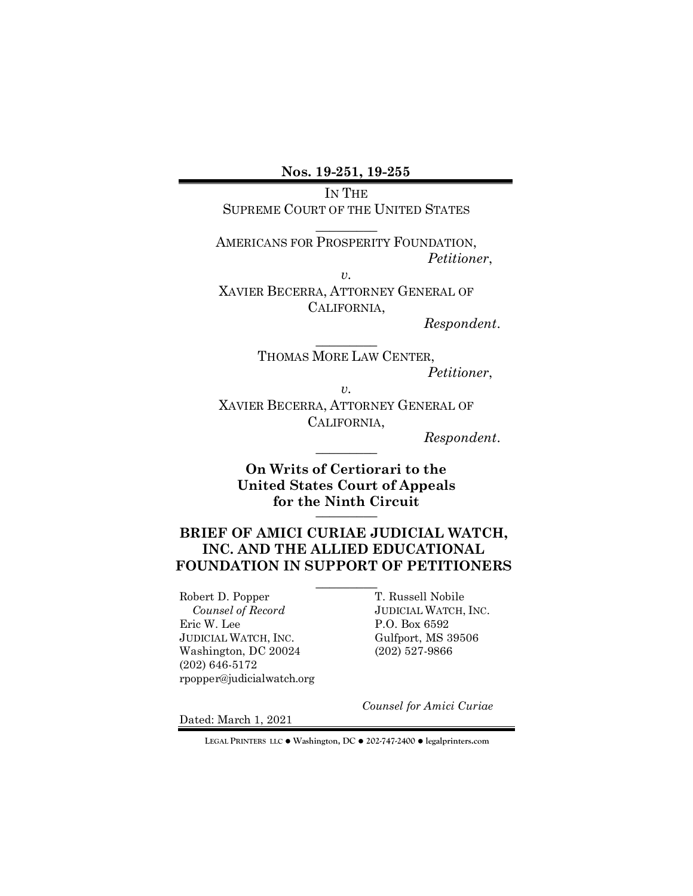**Nos. 19-251, 19-255**

IN THE SUPREME COURT OF THE UNITED STATES

 $\overline{\phantom{a}}$   $\overline{\phantom{a}}$   $\overline{\phantom{a}}$   $\overline{\phantom{a}}$   $\overline{\phantom{a}}$   $\overline{\phantom{a}}$   $\overline{\phantom{a}}$   $\overline{\phantom{a}}$   $\overline{\phantom{a}}$   $\overline{\phantom{a}}$   $\overline{\phantom{a}}$   $\overline{\phantom{a}}$   $\overline{\phantom{a}}$   $\overline{\phantom{a}}$   $\overline{\phantom{a}}$   $\overline{\phantom{a}}$   $\overline{\phantom{a}}$   $\overline{\phantom{a}}$   $\overline{\$ 

AMERICANS FOR PROSPERITY FOUNDATION, *Petitioner*,

*v.*

XAVIER BECERRA, ATTORNEY GENERAL OF CALIFORNIA,

 $\overline{\phantom{a}}$  , where  $\overline{\phantom{a}}$ 

*Respondent*.

THOMAS MORE LAW CENTER, *Petitioner*, *v.*

XAVIER BECERRA, ATTORNEY GENERAL OF CALIFORNIA,

 *Respondent*. \_\_\_\_\_\_\_\_\_

**On Writs of Certiorari to the United States Court of Appeals for the Ninth Circuit** \_\_\_\_\_\_\_\_\_

## **BRIEF OF AMICI CURIAE JUDICIAL WATCH, INC. AND THE ALLIED EDUCATIONAL FOUNDATION IN SUPPORT OF PETITIONERS**

 $\overline{\phantom{a}}$   $\overline{\phantom{a}}$   $\overline{\phantom{a}}$   $\overline{\phantom{a}}$   $\overline{\phantom{a}}$   $\overline{\phantom{a}}$   $\overline{\phantom{a}}$   $\overline{\phantom{a}}$   $\overline{\phantom{a}}$   $\overline{\phantom{a}}$   $\overline{\phantom{a}}$   $\overline{\phantom{a}}$   $\overline{\phantom{a}}$   $\overline{\phantom{a}}$   $\overline{\phantom{a}}$   $\overline{\phantom{a}}$   $\overline{\phantom{a}}$   $\overline{\phantom{a}}$   $\overline{\$ 

Robert D. Popper T. Russell Nobile  *Counsel of Record* JUDICIAL WATCH, INC. Eric W. Lee P.O. Box 6592 JUDICIAL WATCH, INC. Gulfport, MS 39506 Washington, DC 20024 (202) 527-9866 (202) 646-5172 rpopper@judicialwatch.org

*Counsel for Amici Curiae*

Dated: March 1, 2021

**LEGAL PRINTERS LLC** ! **Washington, DC** ! **202-747-2400** ! **legalprinters.com**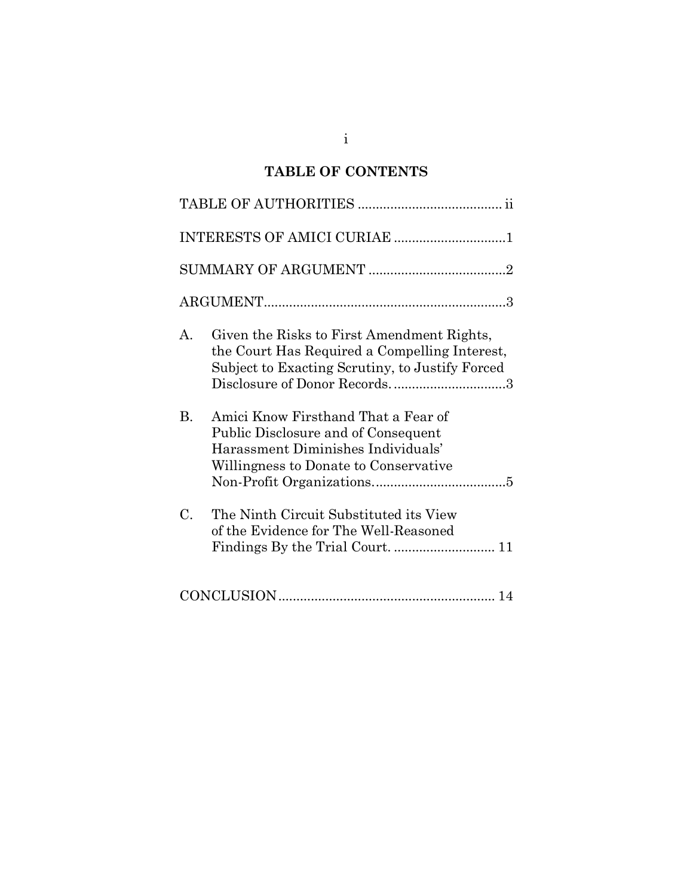# **TABLE OF CONTENTS**

|           | INTERESTS OF AMICI CURIAE 1                                                                                                                                                    |  |  |
|-----------|--------------------------------------------------------------------------------------------------------------------------------------------------------------------------------|--|--|
|           |                                                                                                                                                                                |  |  |
|           |                                                                                                                                                                                |  |  |
| А.        | Given the Risks to First Amendment Rights,<br>the Court Has Required a Compelling Interest,<br>Subject to Exacting Scrutiny, to Justify Forced<br>Disclosure of Donor Records3 |  |  |
| <b>B.</b> | Amici Know Firsthand That a Fear of<br>Public Disclosure and of Consequent<br>Harassment Diminishes Individuals'<br>Willingness to Donate to Conservative                      |  |  |
| C.        | The Ninth Circuit Substituted its View<br>of the Evidence for The Well-Reasoned                                                                                                |  |  |
|           |                                                                                                                                                                                |  |  |

i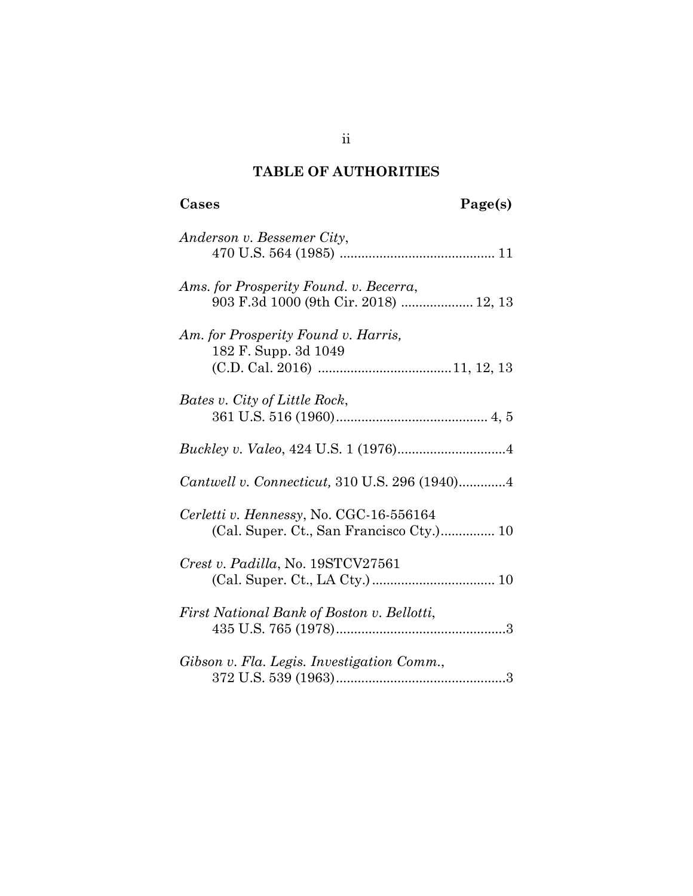# **TABLE OF AUTHORITIES**

| Anderson v. Bessemer City,                 |
|--------------------------------------------|
|                                            |
| Ams. for Prosperity Found. v. Becerra,     |
| 903 F.3d 1000 (9th Cir. 2018)  12, 13      |
| Am. for Prosperity Found v. Harris,        |
| 182 F. Supp. 3d 1049                       |
|                                            |
| Bates v. City of Little Rock,              |
|                                            |
|                                            |
|                                            |
|                                            |
| Cerletti v. Hennessy, No. CGC-16-556164    |
| (Cal. Super. Ct., San Francisco Cty.) 10   |
| Crest v. Padilla, No. 19STCV27561          |
|                                            |
| First National Bank of Boston v. Bellotti, |
|                                            |
| Gibson v. Fla. Legis. Investigation Comm., |
|                                            |
|                                            |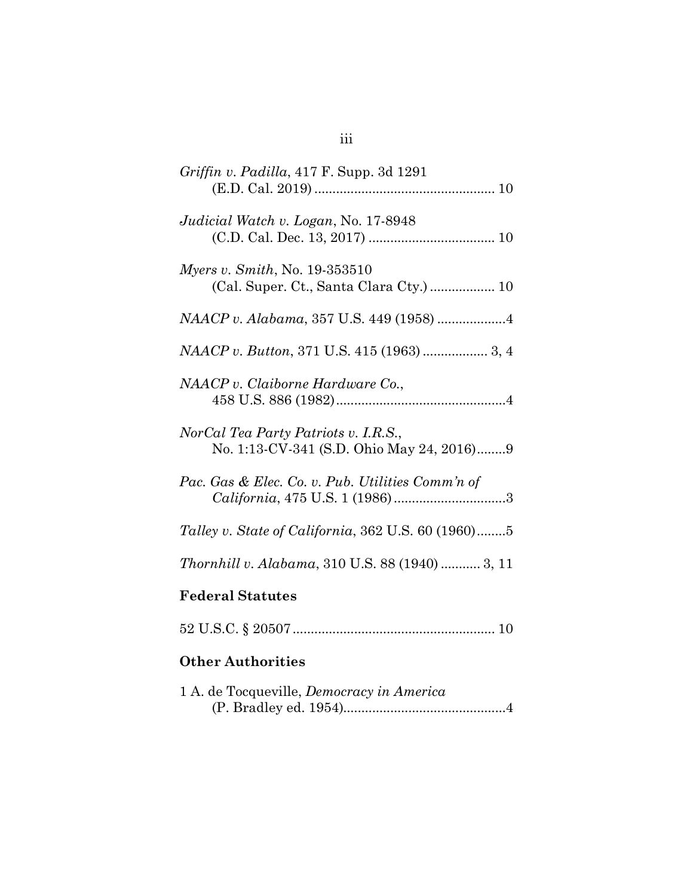| <i>Griffin v. Padilla,</i> 417 F. Supp. 3d 1291                                   |
|-----------------------------------------------------------------------------------|
| Judicial Watch v. Logan, No. 17-8948                                              |
| <i>Myers v. Smith, No.</i> $19-353510$                                            |
|                                                                                   |
| <i>NAACP v. Button, 371 U.S. 415 (1963) </i> 3, 4                                 |
| NAACP v. Claiborne Hardware Co.,                                                  |
| NorCal Tea Party Patriots v. I.R.S.,<br>No. 1:13-CV-341 (S.D. Ohio May 24, 2016)9 |
| Pac. Gas & Elec. Co. v. Pub. Utilities Comm'n of                                  |
| Talley v. State of California, 362 U.S. 60 (1960)5                                |
| Thornhill v. Alabama, 310 U.S. 88 (1940)  3, 11                                   |
| <b>Federal Statutes</b>                                                           |
|                                                                                   |
| <b>Other Authorities</b>                                                          |

| 1 A. de Tocqueville, <i>Democracy in America</i> |
|--------------------------------------------------|
|                                                  |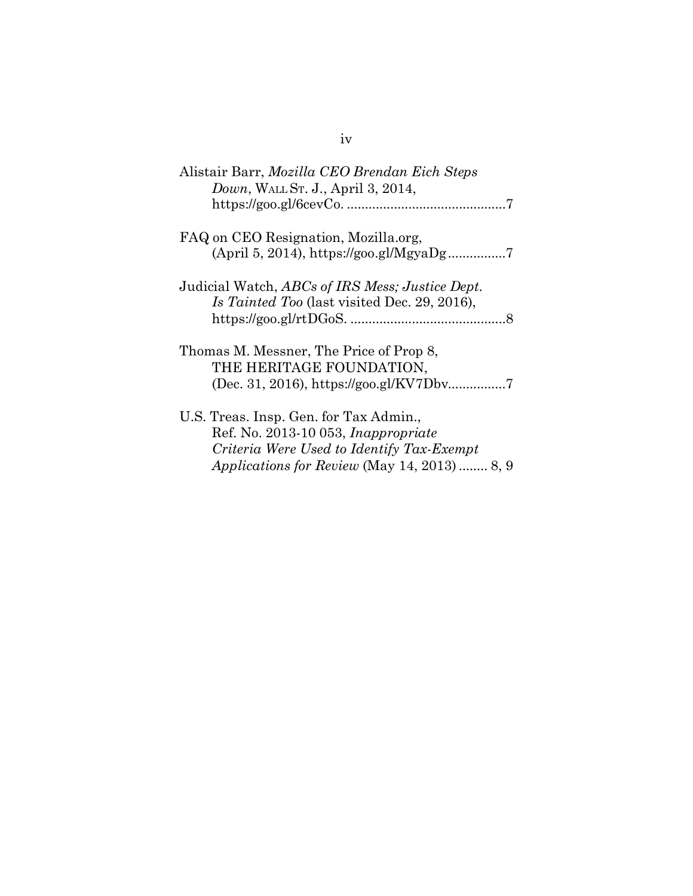| Alistair Barr, Mozilla CEO Brendan Eich Steps<br><i>Down</i> , WALL St. J., April 3, 2014,                                                                                        |
|-----------------------------------------------------------------------------------------------------------------------------------------------------------------------------------|
| FAQ on CEO Resignation, Mozilla.org,                                                                                                                                              |
| Judicial Watch, ABCs of IRS Mess; Justice Dept.<br>Is Tainted Too (last visited Dec. 29, 2016),                                                                                   |
| Thomas M. Messner, The Price of Prop 8,<br>THE HERITAGE FOUNDATION,                                                                                                               |
| U.S. Treas. Insp. Gen. for Tax Admin.,<br>Ref. No. 2013-10 053, <i>Inappropriate</i><br>Criteria Were Used to Identify Tax-Exempt<br>Applications for Review (May 14, 2013)  8, 9 |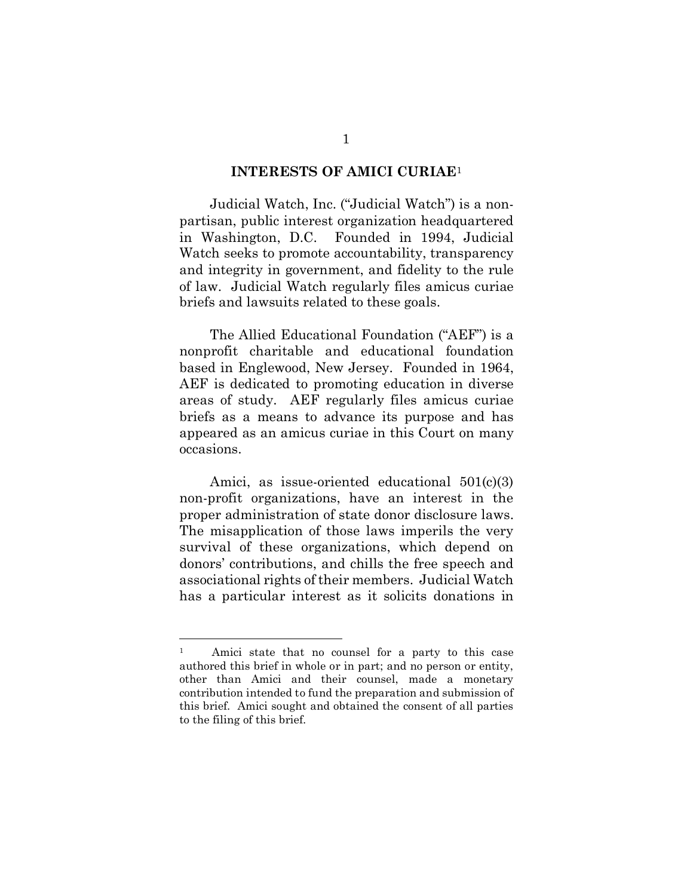#### **INTERESTS OF AMICI CURIAE**[1](#page-5-0)

Judicial Watch, Inc. ("Judicial Watch") is a nonpartisan, public interest organization headquartered in Washington, D.C. Founded in 1994, Judicial Watch seeks to promote accountability, transparency and integrity in government, and fidelity to the rule of law. Judicial Watch regularly files amicus curiae briefs and lawsuits related to these goals.

The Allied Educational Foundation ("AEF") is a nonprofit charitable and educational foundation based in Englewood, New Jersey. Founded in 1964, AEF is dedicated to promoting education in diverse areas of study. AEF regularly files amicus curiae briefs as a means to advance its purpose and has appeared as an amicus curiae in this Court on many occasions.

Amici, as issue-oriented educational 501(c)(3) non-profit organizations, have an interest in the proper administration of state donor disclosure laws. The misapplication of those laws imperils the very survival of these organizations, which depend on donors' contributions, and chills the free speech and associational rights of their members. Judicial Watch has a particular interest as it solicits donations in

<span id="page-5-0"></span><sup>1</sup> Amici state that no counsel for a party to this case authored this brief in whole or in part; and no person or entity, other than Amici and their counsel, made a monetary contribution intended to fund the preparation and submission of this brief. Amici sought and obtained the consent of all parties to the filing of this brief.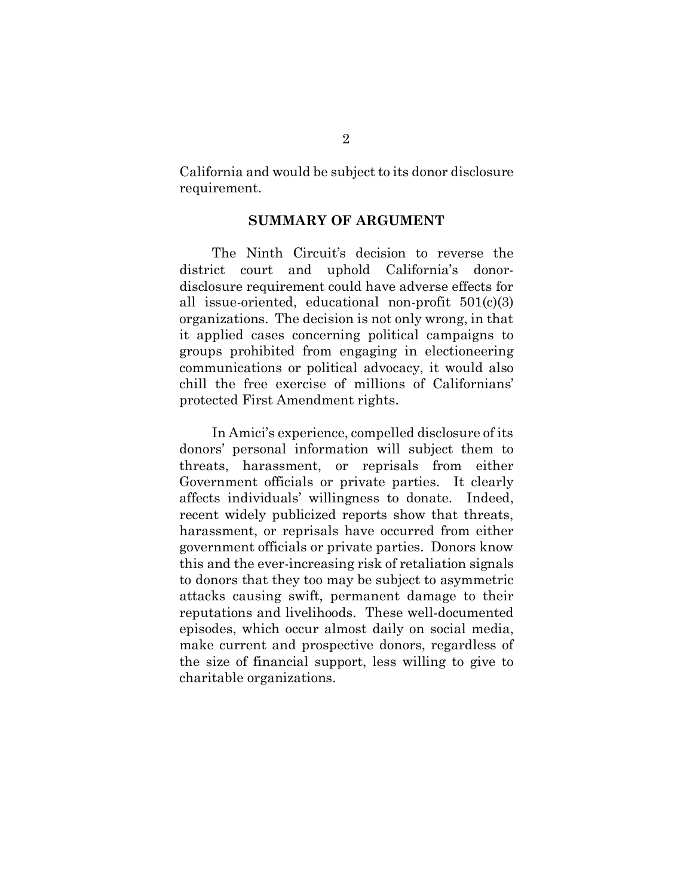California and would be subject to its donor disclosure requirement.

### **SUMMARY OF ARGUMENT**

The Ninth Circuit's decision to reverse the district court and uphold California's donordisclosure requirement could have adverse effects for all issue-oriented, educational non-profit 501(c)(3) organizations. The decision is not only wrong, in that it applied cases concerning political campaigns to groups prohibited from engaging in electioneering communications or political advocacy, it would also chill the free exercise of millions of Californians' protected First Amendment rights.

In Amici's experience, compelled disclosure of its donors' personal information will subject them to threats, harassment, or reprisals from either Government officials or private parties. It clearly affects individuals' willingness to donate. Indeed, recent widely publicized reports show that threats, harassment, or reprisals have occurred from either government officials or private parties. Donors know this and the ever-increasing risk of retaliation signals to donors that they too may be subject to asymmetric attacks causing swift, permanent damage to their reputations and livelihoods. These well-documented episodes, which occur almost daily on social media, make current and prospective donors, regardless of the size of financial support, less willing to give to charitable organizations.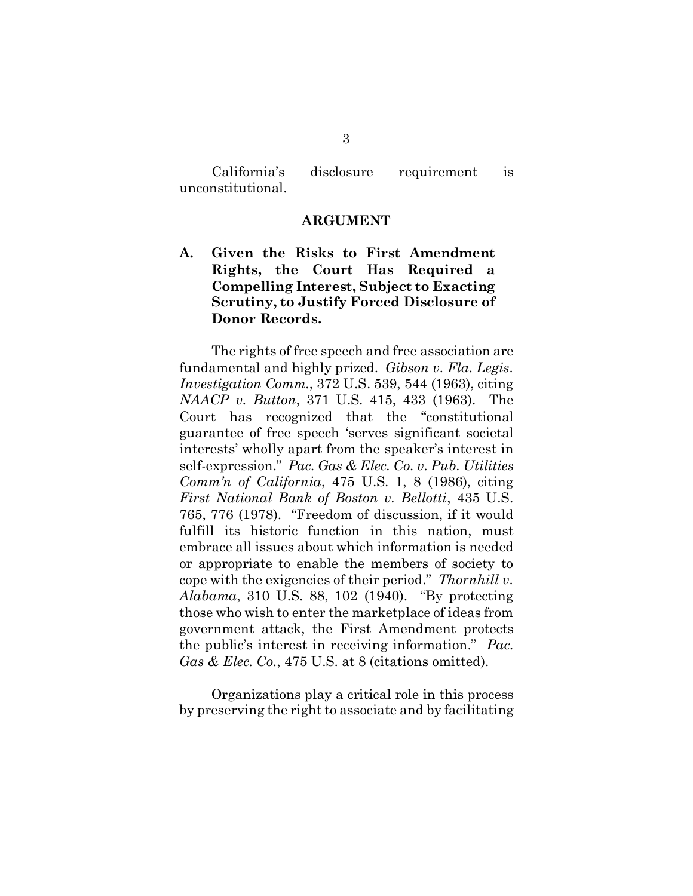California's disclosure requirement is unconstitutional.

#### **ARGUMENT**

**A. Given the Risks to First Amendment Rights, the Court Has Required a Compelling Interest, Subject to Exacting Scrutiny, to Justify Forced Disclosure of Donor Records.**

The rights of free speech and free association are fundamental and highly prized. *Gibson v. Fla. Legis. Investigation Comm.*, 372 U.S. 539, 544 (1963), citing *NAACP v. Button*, 371 U.S. 415, 433 (1963). The Court has recognized that the "constitutional guarantee of free speech 'serves significant societal interests' wholly apart from the speaker's interest in self-expression." *Pac. Gas & Elec. Co. v. Pub. Utilities Comm'n of California*, 475 U.S. 1, 8 (1986), citing *First National Bank of Boston v. Bellotti*, 435 U.S. 765, 776 (1978). "Freedom of discussion, if it would fulfill its historic function in this nation, must embrace all issues about which information is needed or appropriate to enable the members of society to cope with the exigencies of their period." *Thornhill v. Alabama*, 310 U.S. 88, 102 (1940). "By protecting those who wish to enter the marketplace of ideas from government attack, the First Amendment protects the public's interest in receiving information." *Pac. Gas & Elec. Co.*, 475 U.S. at 8 (citations omitted).

Organizations play a critical role in this process by preserving the right to associate and by facilitating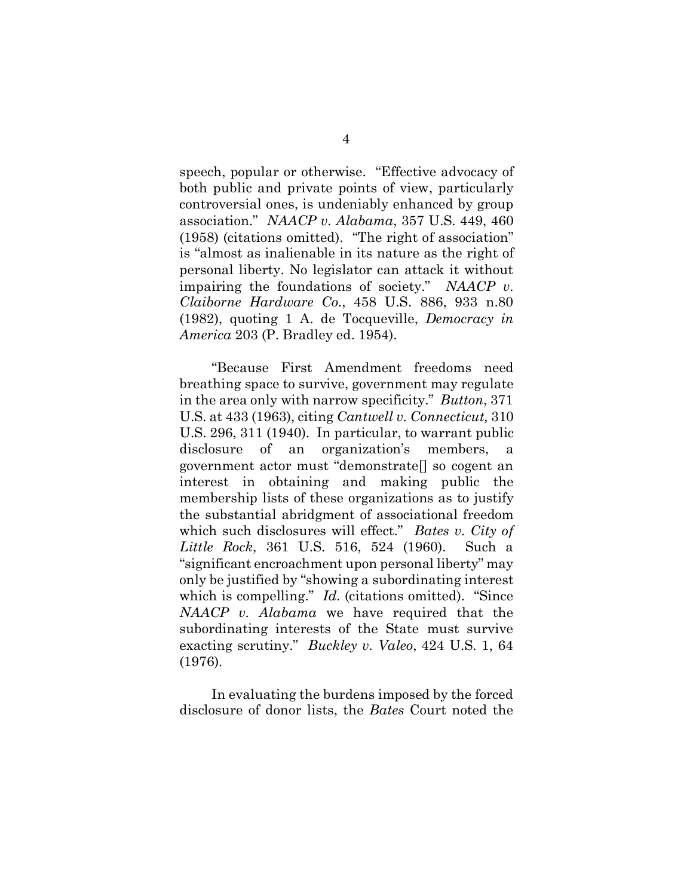speech, popular or otherwise. "Effective advocacy of both public and private points of view, particularly controversial ones, is undeniably enhanced by group association." *NAACP v. Alabama*, 357 U.S. 449, 460 (1958) (citations omitted). "The right of association" is "almost as inalienable in its nature as the right of personal liberty. No legislator can attack it without impairing the foundations of society." *NAACP v. Claiborne Hardware Co.*, 458 U.S. 886, 933 n.80 (1982), quoting 1 A. de Tocqueville, *Democracy in America* 203 (P. Bradley ed. 1954).

"Because First Amendment freedoms need breathing space to survive, government may regulate in the area only with narrow specificity." *Button*, 371 U.S. at 433 (1963), citing *Cantwell v. Connecticut,* 310 U.S. 296, 311 (1940). In particular, to warrant public disclosure of an organization's members, a government actor must "demonstrate[] so cogent an interest in obtaining and making public the membership lists of these organizations as to justify the substantial abridgment of associational freedom which such disclosures will effect." *Bates v. City of Little Rock*, 361 U.S. 516, 524 (1960). Such a "significant encroachment upon personal liberty" may only be justified by "showing a subordinating interest which is compelling." *Id.* (citations omitted). "Since *NAACP v. Alabama* we have required that the subordinating interests of the State must survive exacting scrutiny." *Buckley v. Valeo*, 424 U.S. 1, 64 (1976).

In evaluating the burdens imposed by the forced disclosure of donor lists, the *Bates* Court noted the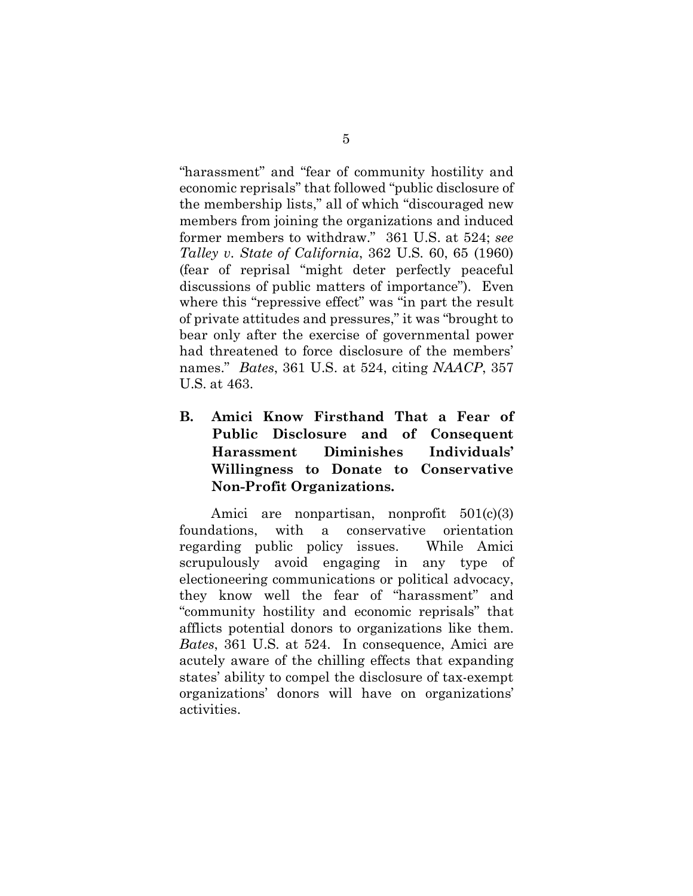"harassment" and "fear of community hostility and economic reprisals" that followed "public disclosure of the membership lists," all of which "discouraged new members from joining the organizations and induced former members to withdraw." 361 U.S. at 524; *see Talley v. State of California*, 362 U.S. 60, 65 (1960) (fear of reprisal "might deter perfectly peaceful discussions of public matters of importance"). Even where this "repressive effect" was "in part the result of private attitudes and pressures," it was "brought to bear only after the exercise of governmental power had threatened to force disclosure of the members' names." *Bates*, 361 U.S. at 524, citing *NAACP*, 357 U.S. at 463.

**B. Amici Know Firsthand That a Fear of Public Disclosure and of Consequent Harassment Diminishes Individuals' Willingness to Donate to Conservative Non-Profit Organizations.**

Amici are nonpartisan, nonprofit 501(c)(3) foundations, with a conservative orientation regarding public policy issues. While Amici scrupulously avoid engaging in any type of electioneering communications or political advocacy, they know well the fear of "harassment" and "community hostility and economic reprisals" that afflicts potential donors to organizations like them. *Bates*, 361 U.S. at 524. In consequence, Amici are acutely aware of the chilling effects that expanding states' ability to compel the disclosure of tax-exempt organizations' donors will have on organizations' activities.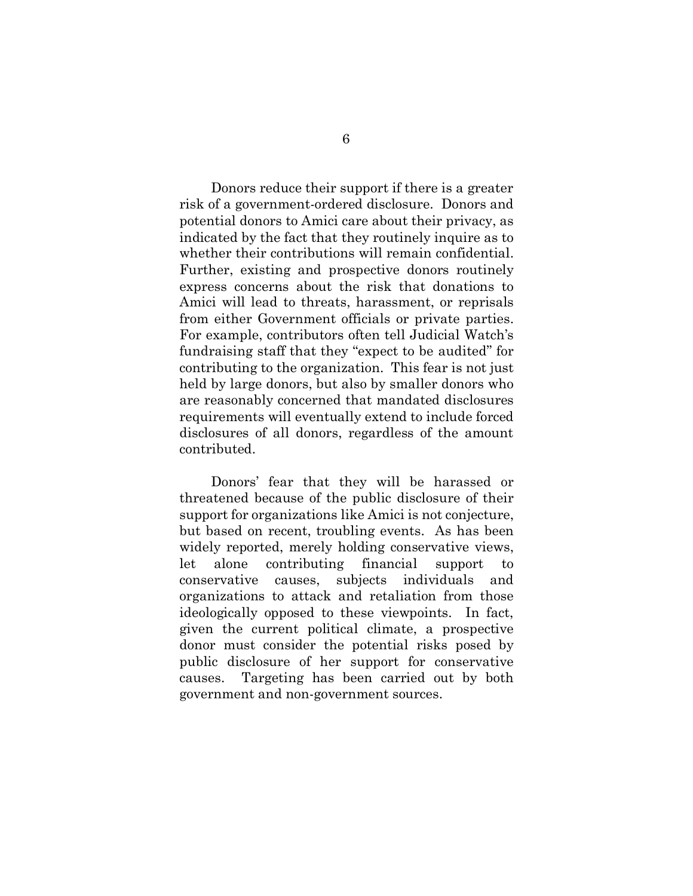Donors reduce their support if there is a greater risk of a government-ordered disclosure. Donors and potential donors to Amici care about their privacy, as indicated by the fact that they routinely inquire as to whether their contributions will remain confidential. Further, existing and prospective donors routinely express concerns about the risk that donations to Amici will lead to threats, harassment, or reprisals from either Government officials or private parties. For example, contributors often tell Judicial Watch's fundraising staff that they "expect to be audited" for contributing to the organization. This fear is not just held by large donors, but also by smaller donors who are reasonably concerned that mandated disclosures requirements will eventually extend to include forced disclosures of all donors, regardless of the amount contributed.

Donors' fear that they will be harassed or threatened because of the public disclosure of their support for organizations like Amici is not conjecture, but based on recent, troubling events. As has been widely reported, merely holding conservative views, let alone contributing financial support to conservative causes, subjects individuals and organizations to attack and retaliation from those ideologically opposed to these viewpoints. In fact, given the current political climate, a prospective donor must consider the potential risks posed by public disclosure of her support for conservative causes. Targeting has been carried out by both government and non-government sources.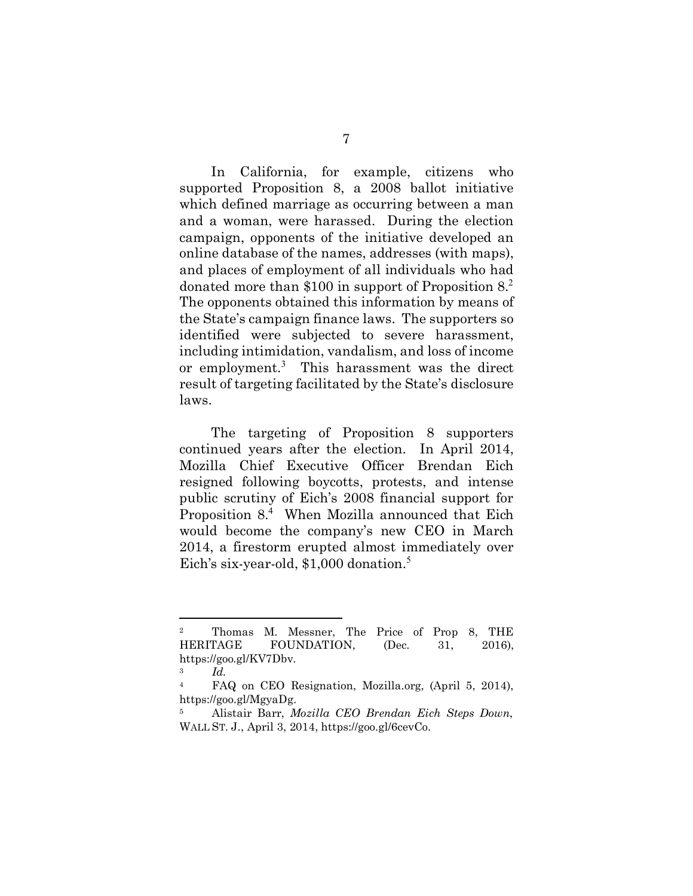In California, for example, citizens who supported Proposition 8, a 2008 ballot initiative which defined marriage as occurring between a man and a woman, were harassed. During the election campaign, opponents of the initiative developed an online database of the names, addresses (with maps), and places of employment of all individuals who had donated more than  $$100$  in support of Proposition  $8.<sup>2</sup>$  $8.<sup>2</sup>$  $8.<sup>2</sup>$ The opponents obtained this information by means of the State's campaign finance laws. The supporters so identified were subjected to severe harassment, including intimidation, vandalism, and loss of income or employment.<sup>[3](#page-11-1)</sup> This harassment was the direct result of targeting facilitated by the State's disclosure laws.

The targeting of Proposition 8 supporters continued years after the election. In April 2014, Mozilla Chief Executive Officer Brendan Eich resigned following boycotts, protests, and intense public scrutiny of Eich's 2008 financial support for Proposition 8.[4](#page-11-2) When Mozilla announced that Eich would become the company's new CEO in March 2014, a firestorm erupted almost immediately over Eich's six-year-old, \$1,000 donation.<sup>[5](#page-11-3)</sup>

<span id="page-11-0"></span><sup>2</sup> Thomas M. Messner, The Price of Prop 8, THE HERITAGE FOUNDATION, (Dec. 31, 2016), https://goo.gl/KV7Dbv.

<sup>3</sup> *Id.*

<span id="page-11-2"></span><span id="page-11-1"></span><sup>4</sup> FAQ on CEO Resignation, Mozilla.org, (April 5, 2014), https://goo.gl/MgyaDg.

<span id="page-11-3"></span><sup>5</sup> Alistair Barr, *Mozilla CEO Brendan Eich Steps Down*, WALL ST. J., April 3, 2014, https://goo.gl/6cevCo.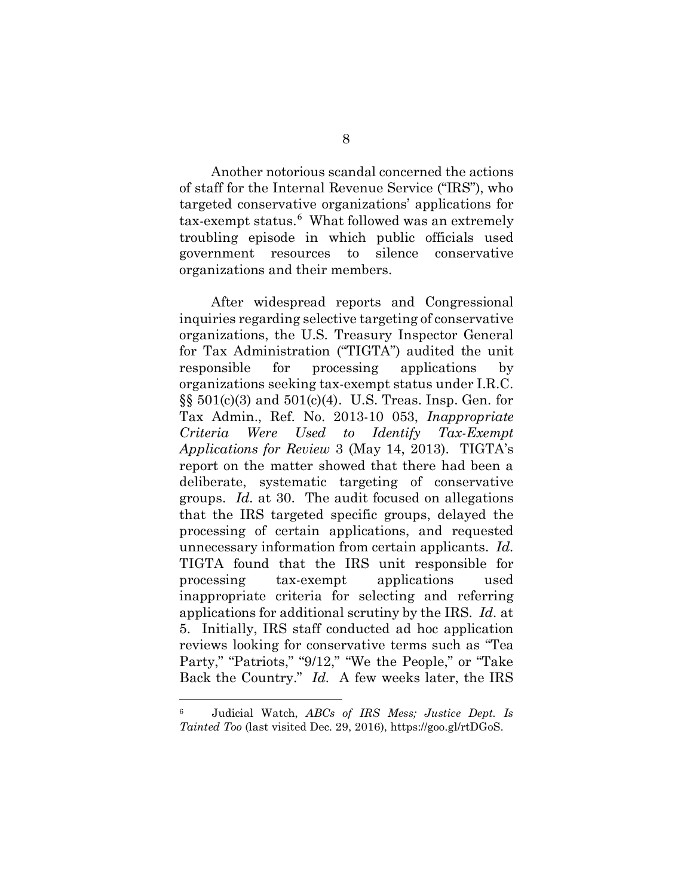Another notorious scandal concerned the actions of staff for the Internal Revenue Service ("IRS"), who targeted conservative organizations' applications for tax-exempt status. [6](#page-12-0) What followed was an extremely troubling episode in which public officials used government resources to silence conservative organizations and their members.

After widespread reports and Congressional inquiries regarding selective targeting of conservative organizations, the U.S. Treasury Inspector General for Tax Administration ("TIGTA") audited the unit responsible for processing applications by organizations seeking tax-exempt status under I.R.C.  $\S$ § 501(c)(3) and 501(c)(4). U.S. Treas. Insp. Gen. for Tax Admin., Ref. No. 2013-10 053, *Inappropriate Criteria Were Used to Identify Tax-Exempt Applications for Review* 3 (May 14, 2013). TIGTA's report on the matter showed that there had been a deliberate, systematic targeting of conservative groups. *Id.* at 30. The audit focused on allegations that the IRS targeted specific groups, delayed the processing of certain applications, and requested unnecessary information from certain applicants. *Id.*  TIGTA found that the IRS unit responsible for processing tax-exempt applications used inappropriate criteria for selecting and referring applications for additional scrutiny by the IRS. *Id.* at 5. Initially, IRS staff conducted ad hoc application reviews looking for conservative terms such as "Tea Party," "Patriots," "9/12," "We the People," or "Take Back the Country." *Id.* A few weeks later, the IRS

<span id="page-12-0"></span><sup>6</sup> Judicial Watch, *ABCs of IRS Mess; Justice Dept. Is Tainted Too* (last visited Dec. 29, 2016), https://goo.gl/rtDGoS.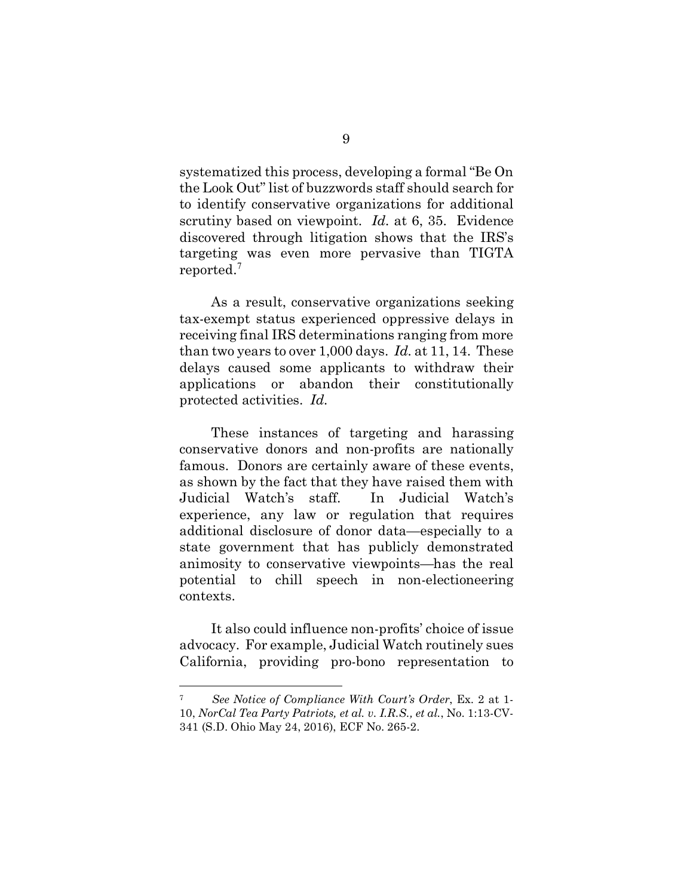systematized this process, developing a formal "Be On the Look Out" list of buzzwords staff should search for to identify conservative organizations for additional scrutiny based on viewpoint. *Id.* at 6, 35. Evidence discovered through litigation shows that the IRS's targeting was even more pervasive than TIGTA reported.[7](#page-13-0)

As a result, conservative organizations seeking tax-exempt status experienced oppressive delays in receiving final IRS determinations ranging from more than two years to over 1,000 days. *Id.* at 11, 14. These delays caused some applicants to withdraw their applications or abandon their constitutionally protected activities. *Id.* 

These instances of targeting and harassing conservative donors and non-profits are nationally famous. Donors are certainly aware of these events, as shown by the fact that they have raised them with Judicial Watch's staff. In Judicial Watch's experience, any law or regulation that requires additional disclosure of donor data—especially to a state government that has publicly demonstrated animosity to conservative viewpoints—has the real potential to chill speech in non-electioneering contexts.

It also could influence non-profits' choice of issue advocacy. For example, Judicial Watch routinely sues California, providing pro-bono representation to

<span id="page-13-0"></span><sup>7</sup> *See Notice of Compliance With Court's Order*, Ex. 2 at 1- 10, *NorCal Tea Party Patriots, et al. v. I.R.S., et al.*, No. 1:13-CV-341 (S.D. Ohio May 24, 2016), ECF No. 265-2.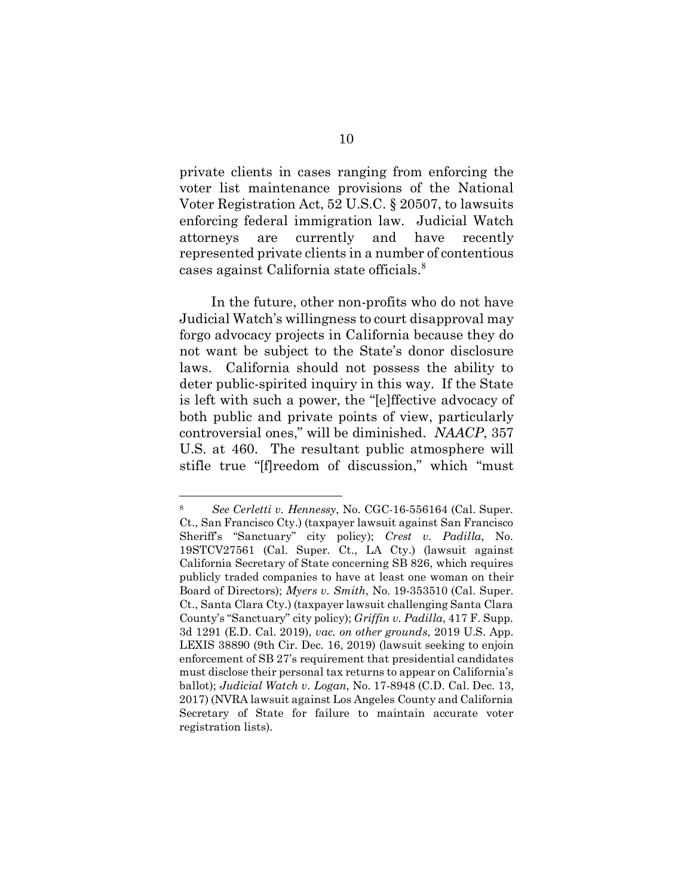private clients in cases ranging from enforcing the voter list maintenance provisions of the National Voter Registration Act, 52 U.S.C. § 20507, to lawsuits enforcing federal immigration law. Judicial Watch attorneys are currently and have recently represented private clients in a number of contentious cases against California state officials. [8](#page-14-0)

In the future, other non-profits who do not have Judicial Watch's willingness to court disapproval may forgo advocacy projects in California because they do not want be subject to the State's donor disclosure laws. California should not possess the ability to deter public-spirited inquiry in this way. If the State is left with such a power, the "[e]ffective advocacy of both public and private points of view, particularly controversial ones," will be diminished. *NAACP*, 357 U.S. at 460. The resultant public atmosphere will stifle true "[f]reedom of discussion," which "must

<span id="page-14-0"></span><sup>8</sup> *See Cerletti v. Hennessy*, No. CGC-16-556164 (Cal. Super. Ct., San Francisco Cty.) (taxpayer lawsuit against San Francisco Sheriff's "Sanctuary" city policy); *Crest v. Padilla*, No. 19STCV27561 (Cal. Super. Ct., LA Cty.) (lawsuit against California Secretary of State concerning SB 826, which requires publicly traded companies to have at least one woman on their Board of Directors); *Myers v. Smith*, No. 19-353510 (Cal. Super. Ct., Santa Clara Cty.) (taxpayer lawsuit challenging Santa Clara County's "Sanctuary" city policy); *Griffin v. Padilla*, 417 F. Supp. 3d 1291 (E.D. Cal. 2019), *vac. on other grounds*, 2019 U.S. App. LEXIS 38890 (9th Cir. Dec. 16, 2019) (lawsuit seeking to enjoin enforcement of SB 27's requirement that presidential candidates must disclose their personal tax returns to appear on California's ballot); *Judicial Watch v. Logan*, No. 17-8948 (C.D. Cal. Dec. 13, 2017) (NVRA lawsuit against Los Angeles County and California Secretary of State for failure to maintain accurate voter registration lists).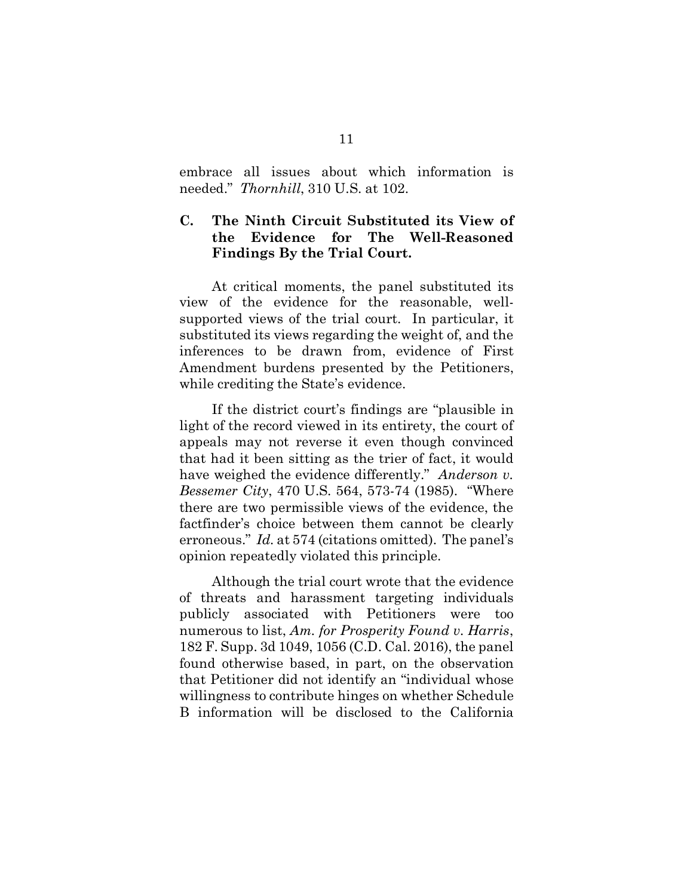embrace all issues about which information is needed." *Thornhill*, 310 U.S. at 102.

## **C.****The Ninth Circuit Substituted its View of the Evidence for The Well-Reasoned Findings By the Trial Court.**

At critical moments, the panel substituted its view of the evidence for the reasonable, wellsupported views of the trial court. In particular, it substituted its views regarding the weight of, and the inferences to be drawn from, evidence of First Amendment burdens presented by the Petitioners, while crediting the State's evidence.

 If the district court's findings are "plausible in light of the record viewed in its entirety, the court of appeals may not reverse it even though convinced that had it been sitting as the trier of fact, it would have weighed the evidence differently." *Anderson v. Bessemer City*, 470 U.S. 564, 573-74 (1985). "Where there are two permissible views of the evidence, the factfinder's choice between them cannot be clearly erroneous." *Id.* at 574 (citations omitted). The panel's opinion repeatedly violated this principle.

Although the trial court wrote that the evidence of threats and harassment targeting individuals publicly associated with Petitioners were too numerous to list, *Am. for Prosperity Found v. Harris*, 182 F. Supp. 3d 1049, 1056 (C.D. Cal. 2016), the panel found otherwise based, in part, on the observation that Petitioner did not identify an "individual whose willingness to contribute hinges on whether Schedule B information will be disclosed to the California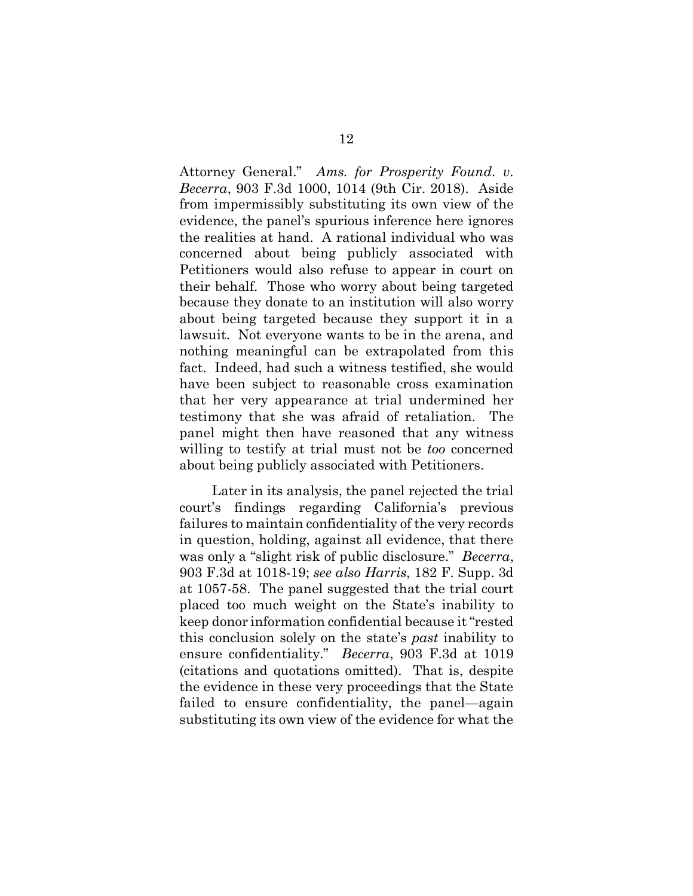Attorney General." *Ams. for Prosperity Found. v. Becerra*, 903 F.3d 1000, 1014 (9th Cir. 2018). Aside from impermissibly substituting its own view of the evidence, the panel's spurious inference here ignores the realities at hand. A rational individual who was concerned about being publicly associated with Petitioners would also refuse to appear in court on their behalf. Those who worry about being targeted because they donate to an institution will also worry about being targeted because they support it in a lawsuit. Not everyone wants to be in the arena, and nothing meaningful can be extrapolated from this fact. Indeed, had such a witness testified, she would have been subject to reasonable cross examination that her very appearance at trial undermined her testimony that she was afraid of retaliation. The panel might then have reasoned that any witness willing to testify at trial must not be *too* concerned about being publicly associated with Petitioners.

Later in its analysis, the panel rejected the trial court's findings regarding California's previous failures to maintain confidentiality of the very records in question, holding, against all evidence, that there was only a "slight risk of public disclosure." *Becerra*, 903 F.3d at 1018-19; *see also Harris*, 182 F. Supp. 3d at 1057-58. The panel suggested that the trial court placed too much weight on the State's inability to keep donor information confidential because it "rested this conclusion solely on the state's *past* inability to ensure confidentiality." *Becerra*, 903 F.3d at 1019 (citations and quotations omitted). That is, despite the evidence in these very proceedings that the State failed to ensure confidentiality, the panel—again substituting its own view of the evidence for what the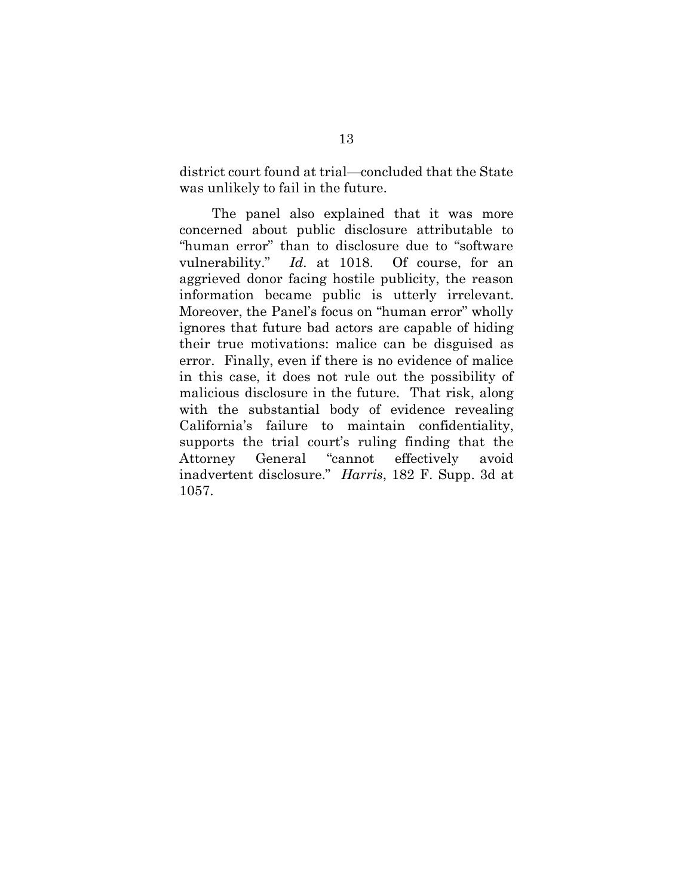district court found at trial—concluded that the State was unlikely to fail in the future.

 The panel also explained that it was more concerned about public disclosure attributable to "human error" than to disclosure due to "software vulnerability." *Id.* at 1018. Of course, for an aggrieved donor facing hostile publicity, the reason information became public is utterly irrelevant. Moreover, the Panel's focus on "human error" wholly ignores that future bad actors are capable of hiding their true motivations: malice can be disguised as error. Finally, even if there is no evidence of malice in this case, it does not rule out the possibility of malicious disclosure in the future. That risk, along with the substantial body of evidence revealing California's failure to maintain confidentiality, supports the trial court's ruling finding that the Attorney General "cannot effectively avoid inadvertent disclosure." *Harris*, 182 F. Supp. 3d at 1057.